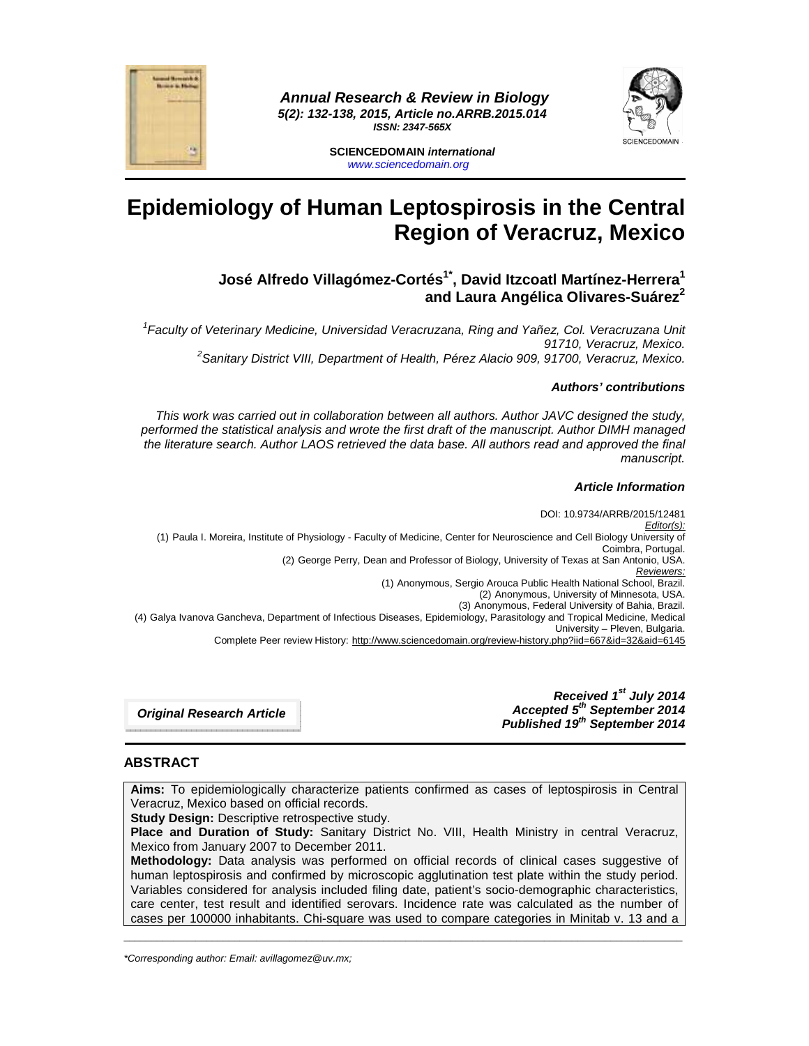





**SCIENCEDOMAIN international**  www.sciencedomain.org

# **Epidemiology of Human Leptospirosis in the Central Region of Veracruz, Mexico**

# **José Alfredo Villagómez-Cortés1\*, David Itzcoatl Martínez-Herrera<sup>1</sup> and Laura Angélica Olivares-Suárez<sup>2</sup>**

<sup>1</sup> Faculty of Veterinary Medicine, Universidad Veracruzana, Ring and Yañez, Col. Veracruzana Unit 91710, Veracruz, Mexico. <sup>2</sup> Sanitary District VIII, Department of Health, Pérez Alacio 909, 91700, Veracruz, Mexico.

#### **Authors' contributions**

This work was carried out in collaboration between all authors. Author JAVC designed the study, performed the statistical analysis and wrote the first draft of the manuscript. Author DIMH managed the literature search. Author LAOS retrieved the data base. All authors read and approved the final manuscript.

#### **Article Information**

DOI: 10.9734/ARRB/2015/12481 Editor(s): (1) Paula I. Moreira, Institute of Physiology - Faculty of Medicine, Center for Neuroscience and Cell Biology University of Coimbra, Portugal. (2) George Perry, Dean and Professor of Biology, University of Texas at San Antonio, USA. Reviewers: (1) Anonymous, Sergio Arouca Public Health National School, Brazil. (2) Anonymous, University of Minnesota, USA. (3) Anonymous, Federal University of Bahia, Brazil. (4) Galya Ivanova Gancheva, Department of Infectious Diseases, Epidemiology, Parasitology and Tropical Medicine, Medical University – Pleven, Bulgaria. Complete Peer review History: http://www.sciencedomain.org/review-history.php?iid=667&id=32&aid=6145

**Original Research Article**

**Received 1st July 2014 Accepted 5th September 2014 Published 19th September 2014**

## **ABSTRACT**

**Aims:** To epidemiologically characterize patients confirmed as cases of leptospirosis in Central Veracruz, Mexico based on official records.

**Study Design: Descriptive retrospective study.** 

**Place and Duration of Study:** Sanitary District No. VIII, Health Ministry in central Veracruz, Mexico from January 2007 to December 2011.

**Methodology:** Data analysis was performed on official records of clinical cases suggestive of human leptospirosis and confirmed by microscopic agglutination test plate within the study period. Variables considered for analysis included filing date, patient's socio-demographic characteristics, care center, test result and identified serovars. Incidence rate was calculated as the number of cases per 100000 inhabitants. Chi-square was used to compare categories in Minitab v. 13 and a

\_\_\_\_\_\_\_\_\_\_\_\_\_\_\_\_\_\_\_\_\_\_\_\_\_\_\_\_\_\_\_\_\_\_\_\_\_\_\_\_\_\_\_\_\_\_\_\_\_\_\_\_\_\_\_\_\_\_\_\_\_\_\_\_\_\_\_\_\_\_\_\_\_\_\_\_\_\_\_\_\_\_\_\_\_\_\_\_\_\_\_\_\_\_\_\_\_\_\_\_\_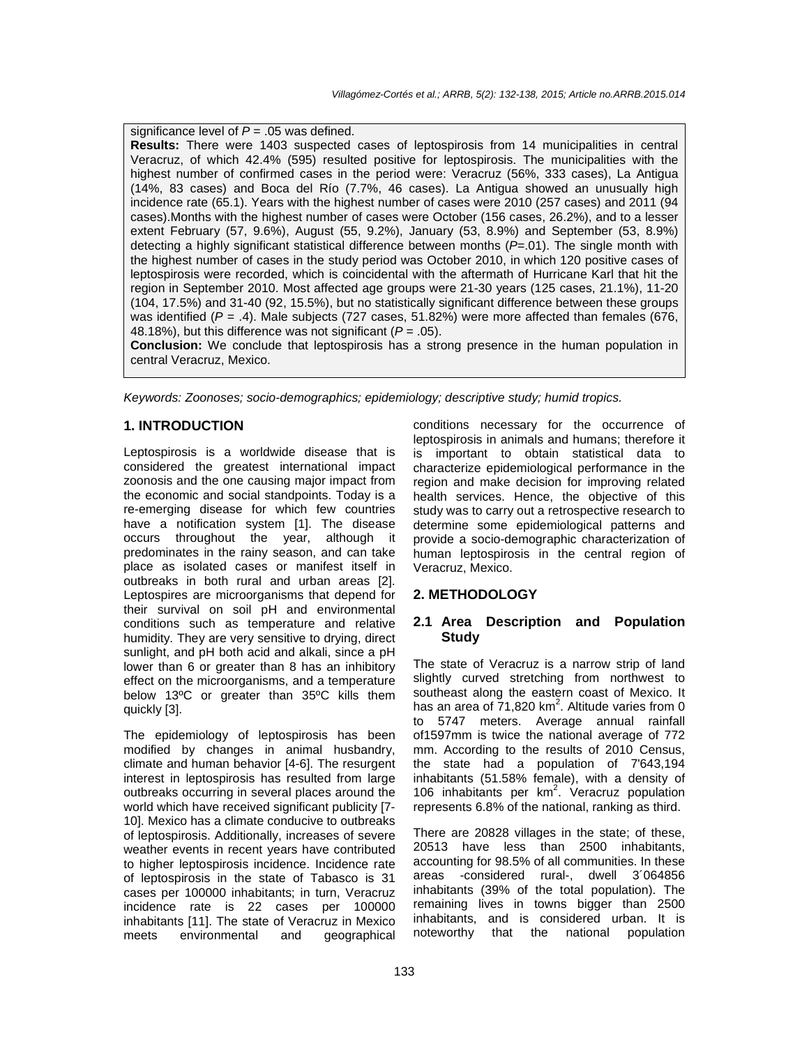significance level of  $P = .05$  was defined. **Results:** There were 1403 suspected cases of leptospirosis from 14 municipalities in central Veracruz, of which 42.4% (595) resulted positive for leptospirosis. The municipalities with the highest number of confirmed cases in the period were: Veracruz (56%, 333 cases), La Antigua (14%, 83 cases) and Boca del Río (7.7%, 46 cases). La Antigua showed an unusually high incidence rate (65.1). Years with the highest number of cases were 2010 (257 cases) and 2011 (94 cases).Months with the highest number of cases were October (156 cases, 26.2%), and to a lesser extent February (57, 9.6%), August (55, 9.2%), January (53, 8.9%) and September (53, 8.9%) detecting a highly significant statistical difference between months ( $P=01$ ). The single month with the highest number of cases in the study period was October 2010, in which 120 positive cases of leptospirosis were recorded, which is coincidental with the aftermath of Hurricane Karl that hit the region in September 2010. Most affected age groups were 21-30 years (125 cases, 21.1%), 11-20 (104, 17.5%) and 31-40 (92, 15.5%), but no statistically significant difference between these groups was identified ( $P = .4$ ). Male subjects (727 cases, 51.82%) were more affected than females (676, 48.18%), but this difference was not significant ( $P = .05$ ).

**Conclusion:** We conclude that leptospirosis has a strong presence in the human population in central Veracruz, Mexico.

Keywords: Zoonoses; socio-demographics; epidemiology; descriptive study; humid tropics.

#### **1. INTRODUCTION**

Leptospirosis is a worldwide disease that is considered the greatest international impact zoonosis and the one causing major impact from the economic and social standpoints. Today is a re-emerging disease for which few countries have a notification system [1]. The disease occurs throughout the year, although it predominates in the rainy season, and can take place as isolated cases or manifest itself in outbreaks in both rural and urban areas [2]. Leptospires are microorganisms that depend for their survival on soil pH and environmental conditions such as temperature and relative humidity. They are very sensitive to drying, direct sunlight, and pH both acid and alkali, since a pH lower than 6 or greater than 8 has an inhibitory effect on the microorganisms, and a temperature below 13ºC or greater than 35ºC kills them quickly [3].

The epidemiology of leptospirosis has been modified by changes in animal husbandry, climate and human behavior [4-6]. The resurgent interest in leptospirosis has resulted from large outbreaks occurring in several places around the world which have received significant publicity [7- 10]. Mexico has a climate conducive to outbreaks of leptospirosis. Additionally, increases of severe weather events in recent years have contributed to higher leptospirosis incidence. Incidence rate of leptospirosis in the state of Tabasco is 31 cases per 100000 inhabitants; in turn, Veracruz incidence rate is 22 cases per 100000 inhabitants [11]. The state of Veracruz in Mexico meets environmental and geographical

conditions necessary for the occurrence of leptospirosis in animals and humans; therefore it is important to obtain statistical data to characterize epidemiological performance in the region and make decision for improving related health services. Hence, the objective of this study was to carry out a retrospective research to determine some epidemiological patterns and provide a socio-demographic characterization of human leptospirosis in the central region of Veracruz, Mexico.

#### **2. METHODOLOGY**

#### **2.1 Area Description and Population Study**

The state of Veracruz is a narrow strip of land slightly curved stretching from northwest to southeast along the eastern coast of Mexico. It has an area of  $71,820$  km<sup>2</sup>. Altitude varies from 0 to 5747 meters. Average annual rainfall of1597mm is twice the national average of 772 mm. According to the results of 2010 Census, the state had a population of 7'643,194 inhabitants (51.58% female), with a density of 106 inhabitants per  $km^2$ . Veracruz population represents 6.8% of the national, ranking as third.

There are 20828 villages in the state; of these, 20513 have less than 2500 inhabitants, accounting for 98.5% of all communities. In these areas -considered rural-, dwell 3´064856 inhabitants (39% of the total population). The remaining lives in towns bigger than 2500 inhabitants, and is considered urban. It is noteworthy that the national population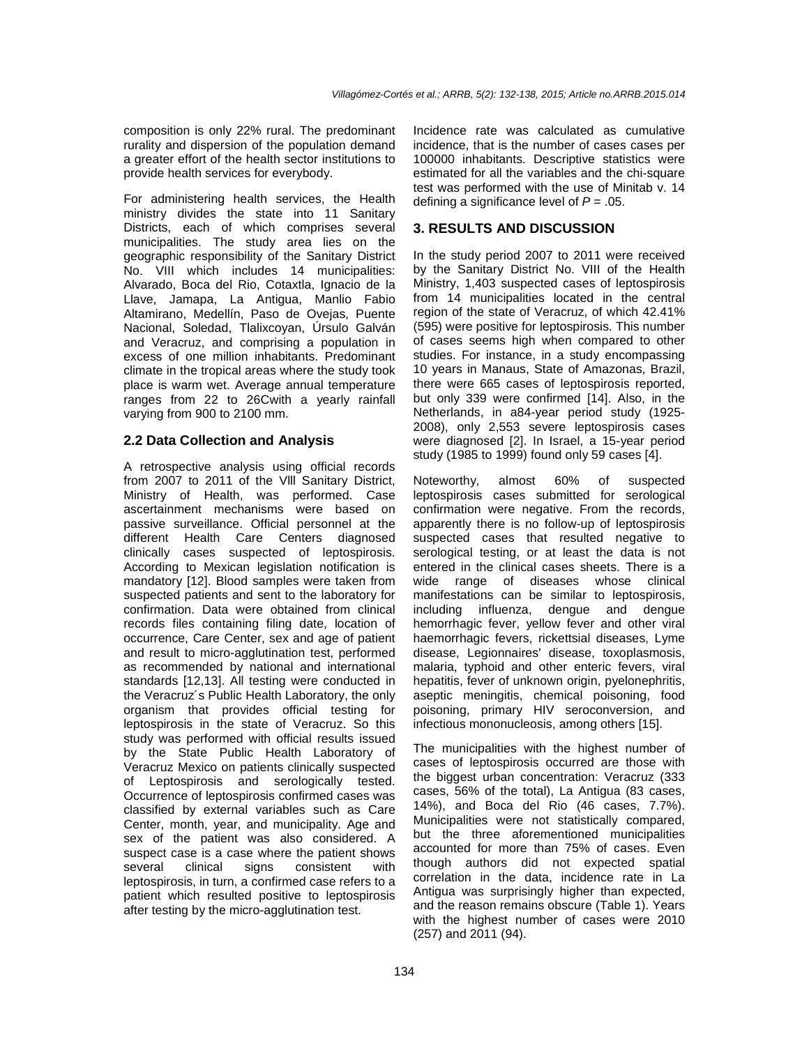composition is only 22% rural. The predominant rurality and dispersion of the population demand a greater effort of the health sector institutions to provide health services for everybody.

For administering health services, the Health ministry divides the state into 11 Sanitary Districts, each of which comprises several municipalities. The study area lies on the geographic responsibility of the Sanitary District No. VIII which includes 14 municipalities: Alvarado, Boca del Rio, Cotaxtla, Ignacio de la Llave, Jamapa, La Antigua, Manlio Fabio Altamirano, Medellín, Paso de Ovejas, Puente Nacional, Soledad, Tlalixcoyan, Úrsulo Galván and Veracruz, and comprising a population in excess of one million inhabitants. Predominant climate in the tropical areas where the study took place is warm wet. Average annual temperature ranges from 22 to 26Cwith a yearly rainfall varying from 900 to 2100 mm.

#### **2.2 Data Collection and Analysis**

A retrospective analysis using official records from 2007 to 2011 of the Vlll Sanitary District, Ministry of Health, was performed. Case ascertainment mechanisms were based on passive surveillance. Official personnel at the different Health Care Centers diagnosed clinically cases suspected of leptospirosis. According to Mexican legislation notification is mandatory [12]. Blood samples were taken from suspected patients and sent to the laboratory for confirmation. Data were obtained from clinical records files containing filing date, location of occurrence, Care Center, sex and age of patient and result to micro-agglutination test, performed as recommended by national and international standards [12,13]. All testing were conducted in the Veracruz´s Public Health Laboratory, the only organism that provides official testing for leptospirosis in the state of Veracruz. So this study was performed with official results issued by the State Public Health Laboratory of Veracruz Mexico on patients clinically suspected of Leptospirosis and serologically tested. Occurrence of leptospirosis confirmed cases was classified by external variables such as Care Center, month, year, and municipality. Age and sex of the patient was also considered. A suspect case is a case where the patient shows several clinical signs consistent with leptospirosis, in turn, a confirmed case refers to a patient which resulted positive to leptospirosis after testing by the micro-agglutination test.

Incidence rate was calculated as cumulative incidence, that is the number of cases cases per 100000 inhabitants. Descriptive statistics were estimated for all the variables and the chi-square test was performed with the use of Minitab v. 14 defining a significance level of  $P = .05$ .

#### **3. RESULTS AND DISCUSSION**

In the study period 2007 to 2011 were received by the Sanitary District No. VIII of the Health Ministry, 1,403 suspected cases of leptospirosis from 14 municipalities located in the central region of the state of Veracruz, of which 42.41% (595) were positive for leptospirosis. This number of cases seems high when compared to other studies. For instance, in a study encompassing 10 years in Manaus, State of Amazonas, Brazil, there were 665 cases of leptospirosis reported, but only 339 were confirmed [14]. Also, in the Netherlands, in a84-year period study (1925- 2008), only 2,553 severe leptospirosis cases were diagnosed [2]. In Israel, a 15-year period study (1985 to 1999) found only 59 cases [4].

Noteworthy, almost 60% of suspected leptospirosis cases submitted for serological confirmation were negative. From the records, apparently there is no follow-up of leptospirosis suspected cases that resulted negative to serological testing, or at least the data is not entered in the clinical cases sheets. There is a wide range of diseases whose clinical manifestations can be similar to leptospirosis, including influenza, dengue and dengue hemorrhagic fever, yellow fever and other viral haemorrhagic fevers, rickettsial diseases, Lyme disease, Legionnaires' disease, toxoplasmosis, malaria, typhoid and other enteric fevers, viral hepatitis, fever of unknown origin, pyelonephritis, aseptic meningitis, chemical poisoning, food poisoning, primary HIV seroconversion, and infectious mononucleosis, among others [15].

The municipalities with the highest number of cases of leptospirosis occurred are those with the biggest urban concentration: Veracruz (333 cases, 56% of the total), La Antigua (83 cases, 14%), and Boca del Rio (46 cases, 7.7%). Municipalities were not statistically compared, but the three aforementioned municipalities accounted for more than 75% of cases. Even though authors did not expected spatial correlation in the data, incidence rate in La Antigua was surprisingly higher than expected, and the reason remains obscure (Table 1). Years with the highest number of cases were 2010 (257) and 2011 (94).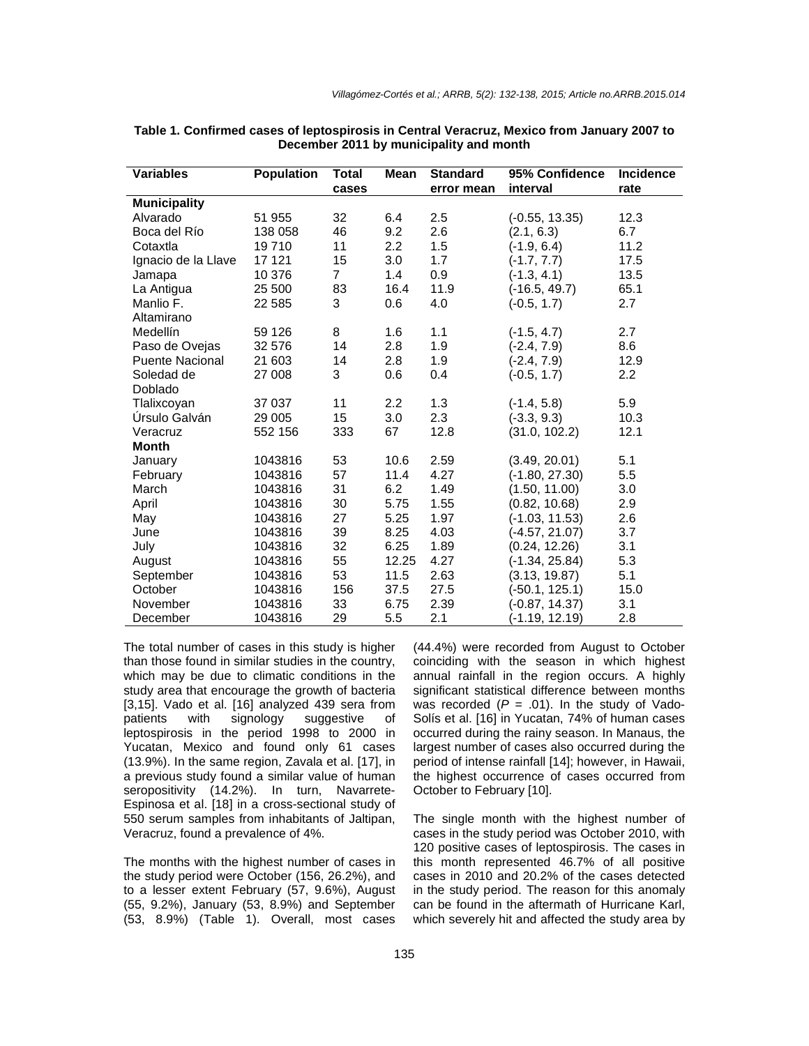| <b>Variables</b>       | <b>Population</b> | Total          | <b>Mean</b> | <b>Standard</b> | 95% Confidence   | <b>Incidence</b> |
|------------------------|-------------------|----------------|-------------|-----------------|------------------|------------------|
|                        |                   | cases          |             | error mean      | interval         | rate             |
| <b>Municipality</b>    |                   |                |             |                 |                  |                  |
| Alvarado               | 51 955            | 32             | 6.4         | 2.5             | $(-0.55, 13.35)$ | 12.3             |
| Boca del Río           | 138 058           | 46             | 9.2         | 2.6             | (2.1, 6.3)       | 6.7              |
| Cotaxtla               | 19710             | 11             | $2.2\,$     | 1.5             | $(-1.9, 6.4)$    | 11.2             |
| Ignacio de la Llave    | 17 121            | 15             | 3.0         | 1.7             | $(-1.7, 7.7)$    | 17.5             |
| Jamapa                 | 10 376            | $\overline{7}$ | 1.4         | 0.9             | $(-1.3, 4.1)$    | 13.5             |
| La Antigua             | 25 500            | 83             | 16.4        | 11.9            | $(-16.5, 49.7)$  | 65.1             |
| Manlio F.              | 22 5 8 5          | 3              | 0.6         | 4.0             | $(-0.5, 1.7)$    | 2.7              |
| Altamirano             |                   |                |             |                 |                  |                  |
| Medellín               | 59 126            | 8              | 1.6         | 1.1             | $(-1.5, 4.7)$    | 2.7              |
| Paso de Ovejas         | 32 576            | 14             | 2.8         | 1.9             | $(-2.4, 7.9)$    | 8.6              |
| <b>Puente Nacional</b> | 21 603            | 14             | 2.8         | 1.9             | $(-2.4, 7.9)$    | 12.9             |
| Soledad de             | 27 008            | 3              | 0.6         | 0.4             | $(-0.5, 1.7)$    | 2.2              |
| Doblado                |                   |                |             |                 |                  |                  |
| Tlalixcoyan            | 37 037            | 11             | 2.2         | 1.3             | $(-1.4, 5.8)$    | 5.9              |
| Úrsulo Galván          | 29 005            | 15             | 3.0         | 2.3             | $(-3.3, 9.3)$    | 10.3             |
| Veracruz               | 552 156           | 333            | 67          | 12.8            | (31.0, 102.2)    | 12.1             |
| <b>Month</b>           |                   |                |             |                 |                  |                  |
| January                | 1043816           | 53             | 10.6        | 2.59            | (3.49, 20.01)    | 5.1              |
| February               | 1043816           | 57             | 11.4        | 4.27            | $(-1.80, 27.30)$ | 5.5              |
| March                  | 1043816           | 31             | 6.2         | 1.49            | (1.50, 11.00)    | 3.0              |
| April                  | 1043816           | 30             | 5.75        | 1.55            | (0.82, 10.68)    | 2.9              |
| May                    | 1043816           | 27             | 5.25        | 1.97            | $(-1.03, 11.53)$ | 2.6              |
| June                   | 1043816           | 39             | 8.25        | 4.03            | $(-4.57, 21.07)$ | 3.7              |
| July                   | 1043816           | 32             | 6.25        | 1.89            | (0.24, 12.26)    | 3.1              |
| August                 | 1043816           | 55             | 12.25       | 4.27            | $(-1.34, 25.84)$ | 5.3              |
| September              | 1043816           | 53             | 11.5        | 2.63            | (3.13, 19.87)    | 5.1              |
| October                | 1043816           | 156            | 37.5        | 27.5            | $(-50.1, 125.1)$ | 15.0             |
| November               | 1043816           | 33             | 6.75        | 2.39            | $(-0.87, 14.37)$ | 3.1              |
| December               | 1043816           | 29             | 5.5         | 2.1             | $(-1.19, 12.19)$ | 2.8              |

**Table 1. Confirmed cases of leptospirosis in Central Veracruz, Mexico from January 2007 to December 2011 by municipality and month** 

The total number of cases in this study is higher than those found in similar studies in the country, which may be due to climatic conditions in the study area that encourage the growth of bacteria [3,15]. Vado et al. [16] analyzed 439 sera from<br>patients with signology suggestive of with signology suggestive of leptospirosis in the period 1998 to 2000 in Yucatan, Mexico and found only 61 cases (13.9%). In the same region, Zavala et al. [17], in a previous study found a similar value of human seropositivity (14.2%). In turn, Navarrete-Espinosa et al. [18] in a cross-sectional study of 550 serum samples from inhabitants of Jaltipan, Veracruz, found a prevalence of 4%.

The months with the highest number of cases in the study period were October (156, 26.2%), and to a lesser extent February (57, 9.6%), August (55, 9.2%), January (53, 8.9%) and September (53, 8.9%) (Table 1). Overall, most cases (44.4%) were recorded from August to October coinciding with the season in which highest annual rainfall in the region occurs. A highly significant statistical difference between months was recorded  $(P = .01)$ . In the study of Vado-Solís et al. [16] in Yucatan, 74% of human cases occurred during the rainy season. In Manaus, the largest number of cases also occurred during the period of intense rainfall [14]; however, in Hawaii, the highest occurrence of cases occurred from October to February [10].

The single month with the highest number of cases in the study period was October 2010, with 120 positive cases of leptospirosis. The cases in this month represented 46.7% of all positive cases in 2010 and 20.2% of the cases detected in the study period. The reason for this anomaly can be found in the aftermath of Hurricane Karl, which severely hit and affected the study area by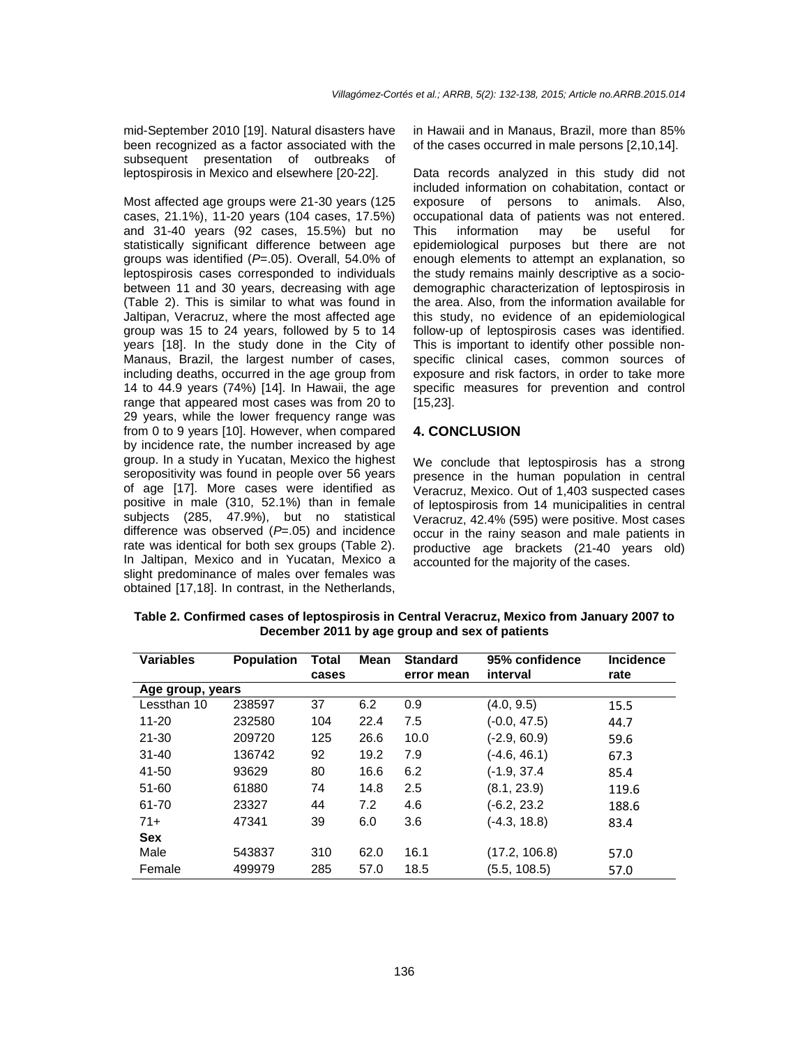mid-September 2010 [19]. Natural disasters have been recognized as a factor associated with the subsequent presentation of outbreaks of leptospirosis in Mexico and elsewhere [20-22].

Most affected age groups were 21-30 years (125 cases, 21.1%), 11-20 years (104 cases, 17.5%) and 31-40 years (92 cases, 15.5%) but no statistically significant difference between age groups was identified  $(P=.05)$ . Overall, 54.0% of leptospirosis cases corresponded to individuals between 11 and 30 years, decreasing with age (Table 2). This is similar to what was found in Jaltipan, Veracruz, where the most affected age group was 15 to 24 years, followed by 5 to 14 years [18]. In the study done in the City of Manaus, Brazil, the largest number of cases, including deaths, occurred in the age group from 14 to 44.9 years (74%) [14]. In Hawaii, the age range that appeared most cases was from 20 to 29 years, while the lower frequency range was from 0 to 9 years [10]. However, when compared by incidence rate, the number increased by age group. In a study in Yucatan, Mexico the highest seropositivity was found in people over 56 years of age [17]. More cases were identified as positive in male (310, 52.1%) than in female subjects (285, 47.9%), but no statistical difference was observed  $(P=.05)$  and incidence rate was identical for both sex groups (Table 2). In Jaltipan, Mexico and in Yucatan, Mexico a slight predominance of males over females was obtained [17,18]. In contrast, in the Netherlands,

in Hawaii and in Manaus, Brazil, more than 85% of the cases occurred in male persons [2,10,14].

Data records analyzed in this study did not included information on cohabitation, contact or exposure of persons to animals. Also, occupational data of patients was not entered. This information may be useful for epidemiological purposes but there are not enough elements to attempt an explanation, so the study remains mainly descriptive as a sociodemographic characterization of leptospirosis in the area. Also, from the information available for this study, no evidence of an epidemiological follow-up of leptospirosis cases was identified. This is important to identify other possible nonspecific clinical cases, common sources of exposure and risk factors, in order to take more specific measures for prevention and control [15,23].

#### **4. CONCLUSION**

We conclude that leptospirosis has a strong presence in the human population in central Veracruz, Mexico. Out of 1,403 suspected cases of leptospirosis from 14 municipalities in central Veracruz, 42.4% (595) were positive. Most cases occur in the rainy season and male patients in productive age brackets (21-40 years old) accounted for the majority of the cases.

| Table 2. Confirmed cases of leptospirosis in Central Veracruz, Mexico from January 2007 to |
|--------------------------------------------------------------------------------------------|
| December 2011 by age group and sex of patients                                             |
|                                                                                            |

| <b>Variables</b> | <b>Population</b> | Total | <b>Mean</b> | <b>Standard</b> | 95% confidence | <b>Incidence</b> |  |  |  |
|------------------|-------------------|-------|-------------|-----------------|----------------|------------------|--|--|--|
|                  |                   | cases |             | error mean      | interval       | rate             |  |  |  |
| Age group, years |                   |       |             |                 |                |                  |  |  |  |
| Lessthan 10      | 238597            | 37    | 6.2         | 0.9             | (4.0, 9.5)     | 15.5             |  |  |  |
| $11 - 20$        | 232580            | 104   | 22.4        | 7.5             | $(-0.0, 47.5)$ | 44.7             |  |  |  |
| $21 - 30$        | 209720            | 125   | 26.6        | 10.0            | (-2.9, 60.9)   | 59.6             |  |  |  |
| $31 - 40$        | 136742            | 92    | 19.2        | 7.9             | (-4.6, 46.1)   | 67.3             |  |  |  |
| 41-50            | 93629             | 80    | 16.6        | 6.2             | (-1.9, 37.4    | 85.4             |  |  |  |
| $51 - 60$        | 61880             | 74    | 14.8        | 2.5             | (8.1, 23.9)    | 119.6            |  |  |  |
| 61-70            | 23327             | 44    | 7.2         | 4.6             | (-6.2, 23.2    | 188.6            |  |  |  |
| $71+$            | 47341             | 39    | 6.0         | 3.6             | $(-4.3, 18.8)$ | 83.4             |  |  |  |
| <b>Sex</b>       |                   |       |             |                 |                |                  |  |  |  |
| Male             | 543837            | 310   | 62.0        | 16.1            | (17.2, 106.8)  | 57.0             |  |  |  |
| Female           | 499979            | 285   | 57.0        | 18.5            | (5.5, 108.5)   | 57.0             |  |  |  |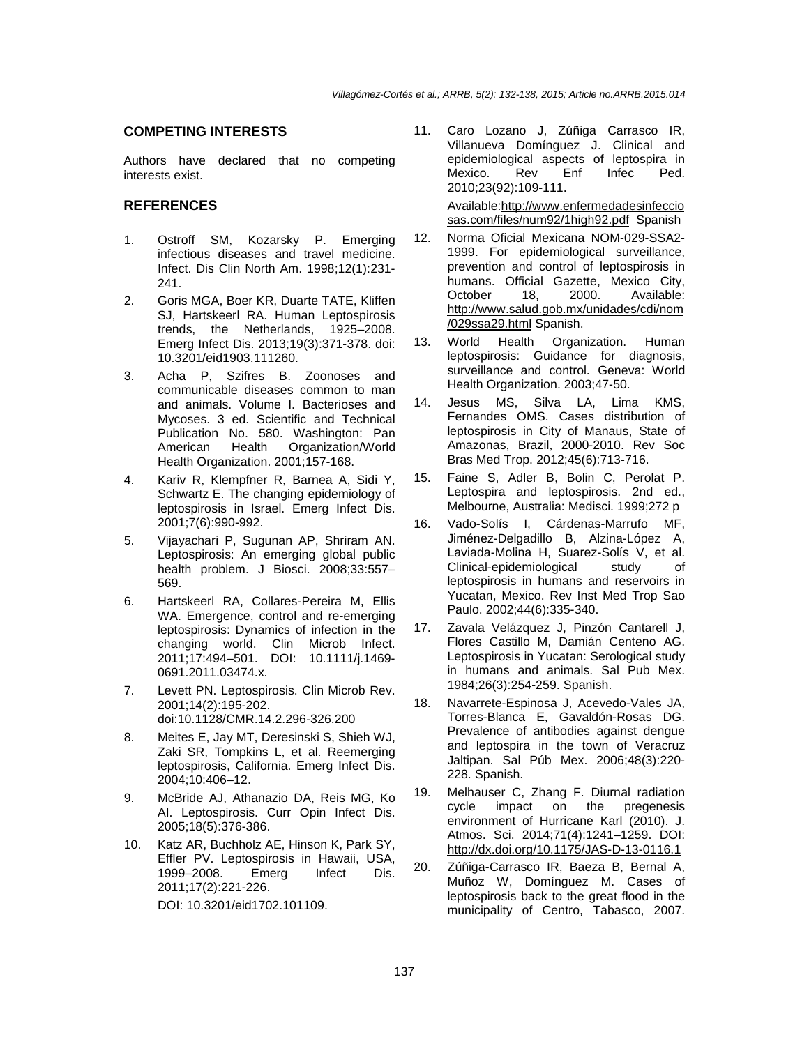## **COMPETING INTERESTS**

Authors have declared that no competing interests exist.

#### **REFERENCES**

- 1. Ostroff SM, Kozarsky P. Emerging infectious diseases and travel medicine. Infect. Dis Clin North Am. 1998;12(1):231- 241.
- 2. Goris MGA, Boer KR, Duarte TATE, Kliffen SJ, Hartskeerl RA. Human Leptospirosis trends, the Netherlands, 1925–2008. Emerg Infect Dis. 2013;19(3):371-378. doi: 10.3201/eid1903.111260.
- 3. Acha P, Szifres B. Zoonoses and communicable diseases common to man and animals. Volume I. Bacterioses and Mycoses. 3 ed. Scientific and Technical Publication No. 580. Washington: Pan American Health Organization/World Health Organization. 2001;157-168.
- 4. Kariv R, Klempfner R, Barnea A, Sidi Y, Schwartz E. The changing epidemiology of leptospirosis in Israel. Emerg Infect Dis. 2001;7(6):990-992.
- 5. Vijayachari P, Sugunan AP, Shriram AN. Leptospirosis: An emerging global public health problem. J Biosci. 2008;33:557– 569.
- 6. Hartskeerl RA, Collares-Pereira M, Ellis WA. Emergence, control and re-emerging leptospirosis: Dynamics of infection in the changing world. Clin Microb Infect. 2011;17:494–501. DOI: 10.1111/j.1469- 0691.2011.03474.x.
- 7. Levett PN. Leptospirosis. Clin Microb Rev. 2001;14(2):195-202. doi:10.1128/CMR.14.2.296-326.200
- 8. Meites E, Jay MT, Deresinski S, Shieh WJ, Zaki SR, Tompkins L, et al. Reemerging leptospirosis, California. Emerg Infect Dis. 2004;10:406–12.
- 9. McBride AJ, Athanazio DA, Reis MG, Ko AI. Leptospirosis. Curr Opin Infect Dis. 2005;18(5):376-386.
- 10. Katz AR, Buchholz AE, Hinson K, Park SY, Effler PV. Leptospirosis in Hawaii, USA, 1999–2008. Emerg Infect Dis. 2011;17(2):221-226. DOI: 10.3201/eid1702.101109.

11. Caro Lozano J, Zúñiga Carrasco IR, Villanueva Domínguez J. Clinical and epidemiological aspects of leptospira in Mexico. Rev Enf Infec Ped. 2010;23(92):109-111.

Available:http://www.enfermedadesinfeccio sas.com/files/num92/1high92.pdf Spanish

- 12. Norma Oficial Mexicana NOM-029-SSA2- 1999. For epidemiological surveillance, prevention and control of leptospirosis in humans. Official Gazette, Mexico City,<br>October 18. 2000. Available: 18, 2000. Available: http://www.salud.gob.mx/unidades/cdi/nom /029ssa29.html Spanish.
- 13. World Health Organization. Human leptospirosis: Guidance for diagnosis, surveillance and control. Geneva: World Health Organization. 2003;47-50.
- 14. Jesus MS, Silva LA, Lima KMS, Fernandes OMS. Cases distribution of leptospirosis in City of Manaus, State of Amazonas, Brazil, 2000-2010. Rev Soc Bras Med Trop. 2012;45(6):713-716.
- 15. Faine S, Adler B, Bolin C, Perolat P. Leptospira and leptospirosis. 2nd ed., Melbourne, Australia: Medisci. 1999;272 p
- 16. Vado-Solís I, Cárdenas-Marrufo MF, Jiménez-Delgadillo B, Alzina-López A, Laviada-Molina H, Suarez-Solís V, et al. Clinical-epidemiological study of leptospirosis in humans and reservoirs in Yucatan, Mexico. Rev Inst Med Trop Sao Paulo. 2002;44(6):335-340.
- 17. Zavala Velázquez J, Pinzón Cantarell J, Flores Castillo M, Damián Centeno AG. Leptospirosis in Yucatan: Serological study in humans and animals. Sal Pub Mex. 1984;26(3):254-259. Spanish.
- 18. Navarrete-Espinosa J, Acevedo-Vales JA, Torres-Blanca E, Gavaldón-Rosas DG. Prevalence of antibodies against dengue and leptospira in the town of Veracruz Jaltipan. Sal Púb Mex. 2006;48(3):220- 228. Spanish.
- 19. Melhauser C, Zhang F. Diurnal radiation cycle impact on the pregenesis environment of Hurricane Karl (2010). J. Atmos. Sci. 2014;71(4):1241–1259. DOI: http://dx.doi.org/10.1175/JAS-D-13-0116.1
- 20. Zúñiga-Carrasco IR, Baeza B, Bernal A, Muñoz W, Domínguez M. Cases of leptospirosis back to the great flood in the municipality of Centro, Tabasco, 2007.